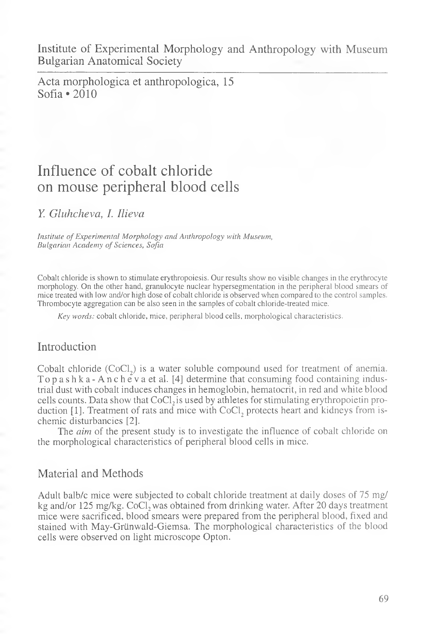Institute of Experimental Morphology and Anthropology with Museum Bulgarian Anatomical Society

Acta morphologica et anthropologica, 15 Sofia «2010

# Influence of cobalt chloride on mouse peripheral blood cells

K *Gluhcheva, I. Ilieva*

*Institute of Experimental Morphology and Anthropology with Museum,* **Bulgarian Academy of Sciences, Sofia** 

Cobalt chloride is shown to stimulate erythropoiesis. Our results show no visible changes in the erythrocyte morphology. On the other hand, granulocyte nuclear hypersegmentation in the peripheral blood smears of mice treated with low and/or high dose of cobalt chloride is observed when compared to the control samples. Thrombocyte aggregation can be also seen in the samples of cobalt chloride-treated mice.

*Key words:* cobalt chloride, mice, peripheral blood cells, morphological characteristics.

## Introduction

Cobalt chloride  $(CoCl<sub>2</sub>)$  is a water soluble compound used for treatment of anemia. Topashka-Ancheva et al. [4] determine that consuming food containing industrial dust with cobalt induces changes in hemoglobin, hematocrit, in red and white blood cells counts. Data show that  $CoCl<sub>2</sub>$  is used by athletes for stimulating erythropoietin production  $[1]$ . Treatment of rats and mice with CoCl<sub>2</sub> protects heart and kidneys from ischemic disturbancies [2].

The *aim* of the present study is to investigate the influence of cobalt chloride on the morphological characteristics of peripheral blood cells in mice.

#### Material and Methods

Adult balb/c mice were subjected to cobalt chloride treatment at daily doses of 75 mg/ kg and/or 125 mg/kg. CoCl, was obtained from drinking water. After 20 days treatment mice were sacrificed, blood smears were prepared from the peripheral blood, fixed and stained with May-Griinwald-Giemsa. The morphological characteristics of the blood cells were observed on light microscope Opton.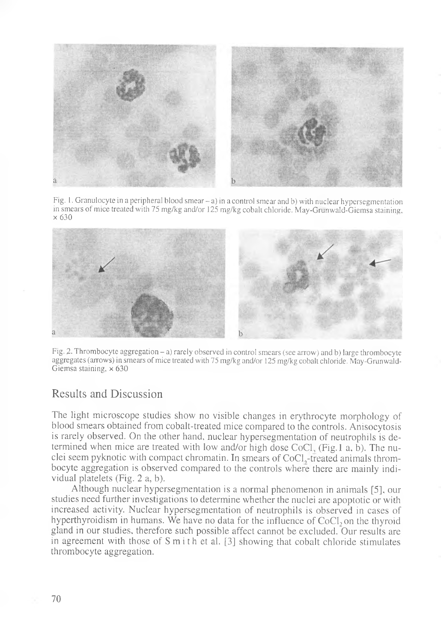

Fig. 1. Granulocyte in a peripheral blood smear - a) in a control smear and b) with nuclear hypersegmentation in smears of mice treated with 75 mg/kg and/or 125 mg/kg cobalt chloride. May-Grunwald-Giemsa staining, x 630



Fig. 2. Thrombocyte aggregation - a) rarely observed in control smears (see arrow) and b) large thrombocyte aggregates (arrows) in smears of mice treated with 75 mg/kg and/or 125 mg/kg cobalt chloride. May-Grunwald-Giemsa staining,  $\times$  630

## Results and Discussion

The light microscope studies show no visible changes in erythrocyte morphology of blood smears obtained from cobalt-treated mice compared to the controls. Anisocytosis is rarely observed. On the other hand, nuclear hypersegmentation of neutrophils is determined when mice are treated with low and/or high dose CoCl, (Fig.l a, b). The nuclei seem pyknotic with compact chromatin. In smears of CoCl,-treated animals thrombocyte aggregation is observed compared to the controls where there are mainly individual platelets (Fig. 2 a, b).

Although nuclear hypersegmentation is a normal phenomenon in animals [5], our studies need further investigations to determine whether the nuclei are apoptotic or with increased activity. Nuclear hypersegmentation of neutrophils is observed in cases of hyperthyroidism in humans. We have no data for the influence of  $CoCl<sub>2</sub>$  on the thyroid gland in our studies, therefore such possible affect cannot be excluded. Our results are in agreement with those of  $S$  m i thet al. [3] showing that cobalt chloride stimulates thrombocyte aggregation.